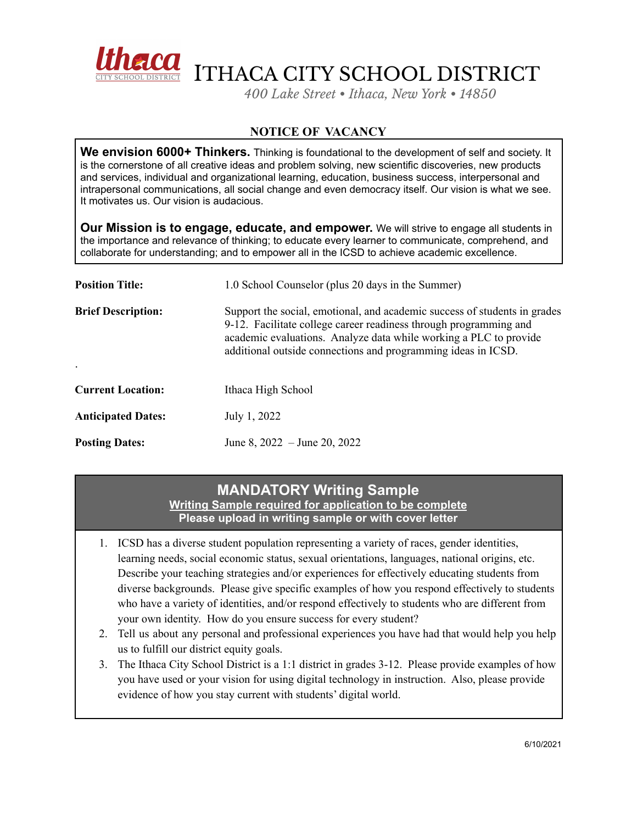

ITHACA CITY SCHOOL DISTRICT

*400 Lake Street • Ithaca, New York • 14850*

## **NOTICE OF VACANCY**

**We envision 6000+ Thinkers.** Thinking is foundational to the development of self and society. It is the cornerstone of all creative ideas and problem solving, new scientific discoveries, new products and services, individual and organizational learning, education, business success, interpersonal and intrapersonal communications, all social change and even democracy itself. Our vision is what we see. It motivates us. Our vision is audacious.

**Our Mission is to engage, educate, and empower.** We will strive to engage all students in the importance and relevance of thinking; to educate every learner to communicate, comprehend, and collaborate for understanding; and to empower all in the ICSD to achieve academic excellence.

| <b>Position Title:</b>    | 1.0 School Counselor (plus 20 days in the Summer)                                                                                                                                                                                                                                    |
|---------------------------|--------------------------------------------------------------------------------------------------------------------------------------------------------------------------------------------------------------------------------------------------------------------------------------|
| <b>Brief Description:</b> | Support the social, emotional, and academic success of students in grades<br>9-12. Facilitate college career readiness through programming and<br>academic evaluations. Analyze data while working a PLC to provide<br>additional outside connections and programming ideas in ICSD. |
| <b>Current Location:</b>  | Ithaca High School                                                                                                                                                                                                                                                                   |
| <b>Anticipated Dates:</b> | July 1, 2022                                                                                                                                                                                                                                                                         |
| <b>Posting Dates:</b>     | June 8, $2022 -$ June 20, 2022                                                                                                                                                                                                                                                       |

# **MANDATORY Writing Sample**

**Writing Sample required for application to be complete Please upload in writing sample or with cover letter**

- 1. ICSD has a diverse student population representing a variety of races, gender identities, learning needs, social economic status, sexual orientations, languages, national origins, etc. Describe your teaching strategies and/or experiences for effectively educating students from diverse backgrounds. Please give specific examples of how you respond effectively to students who have a variety of identities, and/or respond effectively to students who are different from your own identity. How do you ensure success for every student?
- 2. Tell us about any personal and professional experiences you have had that would help you help us to fulfill our district equity goals.
- 3. The Ithaca City School District is a 1:1 district in grades 3-12. Please provide examples of how you have used or your vision for using digital technology in instruction. Also, please provide evidence of how you stay current with students' digital world.